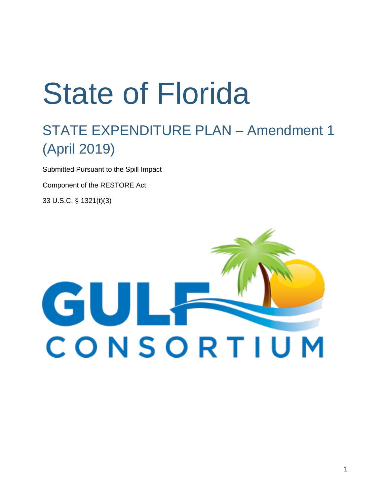# State of Florida

# STATE EXPENDITURE PLAN – Amendment 1 (April 2019)

Submitted Pursuant to the Spill Impact

Component of the RESTORE Act

33 U.S.C. § 1321(t)(3)

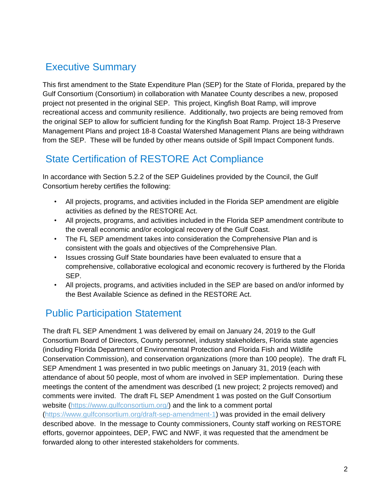## Executive Summary

This first amendment to the State Expenditure Plan (SEP) for the State of Florida, prepared by the Gulf Consortium (Consortium) in collaboration with Manatee County describes a new, proposed project not presented in the original SEP. This project, Kingfish Boat Ramp, will improve recreational access and community resilience. Additionally, two projects are being removed from the original SEP to allow for sufficient funding for the Kingfish Boat Ramp. Project 18-3 Preserve Management Plans and project 18-8 Coastal Watershed Management Plans are being withdrawn from the SEP. These will be funded by other means outside of Spill Impact Component funds.

## State Certification of RESTORE Act Compliance

In accordance with Section 5.2.2 of the SEP Guidelines provided by the Council, the Gulf Consortium hereby certifies the following:

- All projects, programs, and activities included in the Florida SEP amendment are eligible activities as defined by the RESTORE Act.
- All projects, programs, and activities included in the Florida SEP amendment contribute to the overall economic and/or ecological recovery of the Gulf Coast.
- The FL SEP amendment takes into consideration the Comprehensive Plan and is consistent with the goals and objectives of the Comprehensive Plan.
- Issues crossing Gulf State boundaries have been evaluated to ensure that a comprehensive, collaborative ecological and economic recovery is furthered by the Florida SEP.
- All projects, programs, and activities included in the SEP are based on and/or informed by the Best Available Science as defined in the RESTORE Act.

## Public Participation Statement

The draft FL SEP Amendment 1 was delivered by email on January 24, 2019 to the Gulf Consortium Board of Directors, County personnel, industry stakeholders, Florida state agencies (including Florida Department of Environmental Protection and Florida Fish and Wildlife Conservation Commission), and conservation organizations (more than 100 people). The draft FL SEP Amendment 1 was presented in two public meetings on January 31, 2019 (each with attendance of about 50 people, most of whom are involved in SEP implementation. During these meetings the content of the amendment was described (1 new project; 2 projects removed) and comments were invited. The draft FL SEP Amendment 1 was posted on the Gulf Consortium website [\(https://www.gulfconsortium.org/\)](https://www.gulfconsortium.org/) and the link to a comment portal [\(https://www.gulfconsortium.org/draft-sep-amendment-1\)](https://www.gulfconsortium.org/draft-sep-amendment-1) was provided in the email delivery described above. In the message to County commissioners, County staff working on RESTORE efforts, governor appointees, DEP, FWC and NWF, it was requested that the amendment be forwarded along to other interested stakeholders for comments.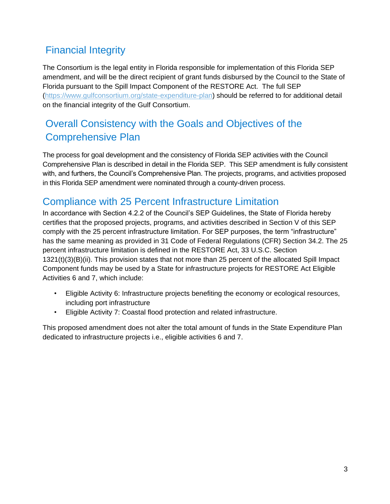## Financial Integrity

The Consortium is the legal entity in Florida responsible for implementation of this Florida SEP amendment, and will be the direct recipient of grant funds disbursed by the Council to the State of Florida pursuant to the Spill Impact Component of the RESTORE Act. The full SEP [\(https://www.gulfconsortium.org/state-expenditure-plan\)](https://www.gulfconsortium.org/state-expenditure-plan) should be referred to for additional detail on the financial integrity of the Gulf Consortium.

## Overall Consistency with the Goals and Objectives of the Comprehensive Plan

The process for goal development and the consistency of Florida SEP activities with the Council Comprehensive Plan is described in detail in the Florida SEP. This SEP amendment is fully consistent with, and furthers, the Council's Comprehensive Plan. The projects, programs, and activities proposed in this Florida SEP amendment were nominated through a county-driven process.

## Compliance with 25 Percent Infrastructure Limitation

In accordance with Section 4.2.2 of the Council's SEP Guidelines, the State of Florida hereby certifies that the proposed projects, programs, and activities described in Section V of this SEP comply with the 25 percent infrastructure limitation. For SEP purposes, the term "infrastructure" has the same meaning as provided in 31 Code of Federal Regulations (CFR) Section 34.2. The 25 percent infrastructure limitation is defined in the RESTORE Act, 33 U.S.C. Section 1321(t)(3)(B)(ii). This provision states that not more than 25 percent of the allocated Spill Impact Component funds may be used by a State for infrastructure projects for RESTORE Act Eligible Activities 6 and 7, which include:

- Eligible Activity 6: Infrastructure projects benefiting the economy or ecological resources, including port infrastructure
- Eligible Activity 7: Coastal flood protection and related infrastructure.

This proposed amendment does not alter the total amount of funds in the State Expenditure Plan dedicated to infrastructure projects i.e., eligible activities 6 and 7.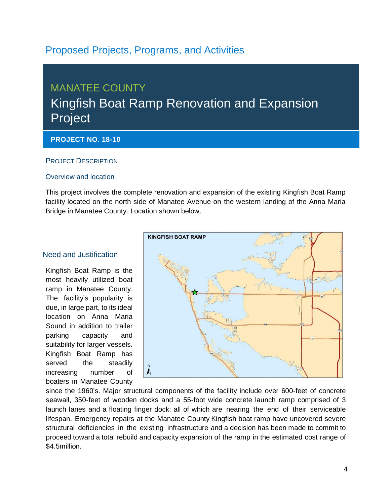## Proposed Projects, Programs, and Activities

## MANATEE COUNTY Kingfish Boat Ramp Renovation and Expansion Project

#### **PROJECT NO. 18-10**

#### PROJECT DESCRIPTION

#### Overview and location

This project involves the complete renovation and expansion of the existing Kingfish Boat Ramp facility located on the north side of Manatee Avenue on the western landing of the Anna Maria Bridge in Manatee County. Location shown below.

#### Need and Justification

Kingfish Boat Ramp is the most heavily utilized boat ramp in Manatee County. The facility's popularity is due, in large part, to its ideal location on Anna Maria Sound in addition to trailer parking capacity and suitability for larger vessels. Kingfish Boat Ramp has served the steadily increasing number of boaters in Manatee County



since the 1960's. Major structural components of the facility include over 600-feet of concrete seawall, 350-feet of wooden docks and a 55-foot wide concrete launch ramp comprised of 3 launch lanes and a floating finger dock; all of which are nearing the end of their serviceable lifespan. Emergency repairs at the Manatee County Kingfish boat ramp have uncovered severe structural deficiencies in the existing infrastructure and a decision has been made to commit to proceed toward a total rebuild and capacity expansion of the ramp in the estimated cost range of \$4.5million.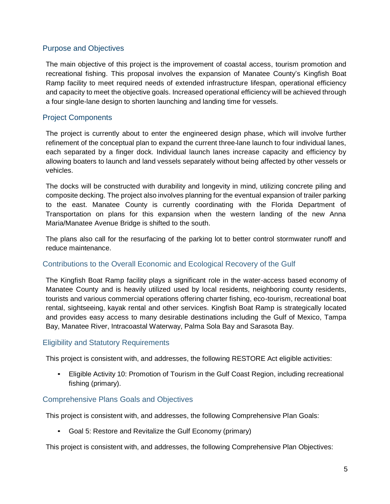#### Purpose and Objectives

The main objective of this project is the improvement of coastal access, tourism promotion and recreational fishing. This proposal involves the expansion of Manatee County's Kingfish Boat Ramp facility to meet required needs of extended infrastructure lifespan, operational efficiency and capacity to meet the objective goals. Increased operational efficiency will be achieved through a four single-lane design to shorten launching and landing time for vessels.

#### Project Components

The project is currently about to enter the engineered design phase, which will involve further refinement of the conceptual plan to expand the current three-lane launch to four individual lanes, each separated by a finger dock. Individual launch lanes increase capacity and efficiency by allowing boaters to launch and land vessels separately without being affected by other vessels or vehicles.

The docks will be constructed with durability and longevity in mind, utilizing concrete piling and composite decking. The project also involves planning for the eventual expansion of trailer parking to the east. Manatee County is currently coordinating with the Florida Department of Transportation on plans for this expansion when the western landing of the new Anna Maria/Manatee Avenue Bridge is shifted to the south.

The plans also call for the resurfacing of the parking lot to better control stormwater runoff and reduce maintenance.

#### Contributions to the Overall Economic and Ecological Recovery of the Gulf

The Kingfish Boat Ramp facility plays a significant role in the water-access based economy of Manatee County and is heavily utilized used by local residents, neighboring county residents, tourists and various commercial operations offering charter fishing, eco-tourism, recreational boat rental, sightseeing, kayak rental and other services. Kingfish Boat Ramp is strategically located and provides easy access to many desirable destinations including the Gulf of Mexico, Tampa Bay, Manatee River, Intracoastal Waterway, Palma Sola Bay and Sarasota Bay.

#### Eligibility and Statutory Requirements

This project is consistent with, and addresses, the following RESTORE Act eligible activities:

• Eligible Activity 10: Promotion of Tourism in the Gulf Coast Region, including recreational fishing (primary).

#### Comprehensive Plans Goals and Objectives

This project is consistent with, and addresses, the following Comprehensive Plan Goals:

• Goal 5: Restore and Revitalize the Gulf Economy (primary)

This project is consistent with, and addresses, the following Comprehensive Plan Objectives: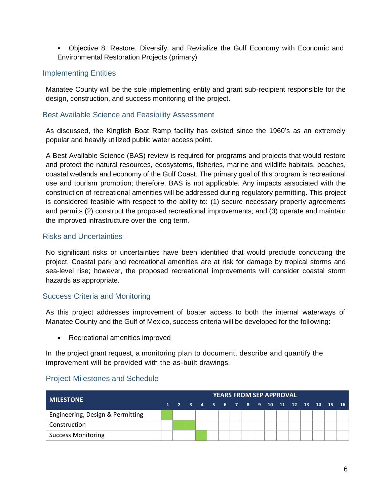• Objective 8: Restore, Diversify, and Revitalize the Gulf Economy with Economic and Environmental Restoration Projects (primary)

#### Implementing Entities

Manatee County will be the sole implementing entity and grant sub-recipient responsible for the design, construction, and success monitoring of the project.

#### Best Available Science and Feasibility Assessment

As discussed, the Kingfish Boat Ramp facility has existed since the 1960's as an extremely popular and heavily utilized public water access point.

A Best Available Science (BAS) review is required for programs and projects that would restore and protect the natural resources, ecosystems, fisheries, marine and wildlife habitats, beaches, coastal wetlands and economy of the Gulf Coast. The primary goal of this program is recreational use and tourism promotion; therefore, BAS is not applicable. Any impacts associated with the construction of recreational amenities will be addressed during regulatory permitting. This project is considered feasible with respect to the ability to: (1) secure necessary property agreements and permits (2) construct the proposed recreational improvements; and (3) operate and maintain the improved infrastructure over the long term.

#### Risks and Uncertainties

No significant risks or uncertainties have been identified that would preclude conducting the project. Coastal park and recreational amenities are at risk for damage by tropical storms and sea-level rise; however, the proposed recreational improvements will consider coastal storm hazards as appropriate.

#### Success Criteria and Monitoring

As this project addresses improvement of boater access to both the internal waterways of Manatee County and the Gulf of Mexico, success criteria will be developed for the following:

• Recreational amenities improved

In the project grant request, a monitoring plan to document, describe and quantify the improvement will be provided with the as-built drawings.

#### Project Milestones and Schedule

| <b>MILESTONE</b>                 | <b>YEARS FROM SEP APPROVAL</b> |  |  |  |  |  |  |  |  |  |  |  |                                          |  |  |  |
|----------------------------------|--------------------------------|--|--|--|--|--|--|--|--|--|--|--|------------------------------------------|--|--|--|
|                                  |                                |  |  |  |  |  |  |  |  |  |  |  | $1$ 2 3 4 5 6 7 8 9 10 11 12 13 14 15 16 |  |  |  |
| Engineering, Design & Permitting |                                |  |  |  |  |  |  |  |  |  |  |  |                                          |  |  |  |
| Construction                     |                                |  |  |  |  |  |  |  |  |  |  |  |                                          |  |  |  |
| <b>Success Monitoring</b>        |                                |  |  |  |  |  |  |  |  |  |  |  |                                          |  |  |  |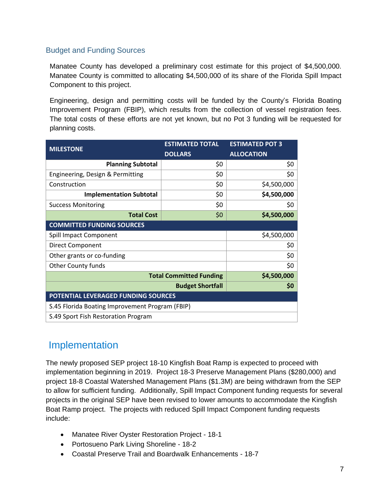#### Budget and Funding Sources

Manatee County has developed a preliminary cost estimate for this project of \$4,500,000. Manatee County is committed to allocating \$4,500,000 of its share of the Florida Spill Impact Component to this project.

Engineering, design and permitting costs will be funded by the County's Florida Boating Improvement Program (FBIP), which results from the collection of vessel registration fees. The total costs of these efforts are not yet known, but no Pot 3 funding will be requested for planning costs.

| <b>MILESTONE</b>                                | <b>ESTIMATED TOTAL</b>         | <b>ESTIMATED POT 3</b> |  |  |  |  |  |  |  |  |
|-------------------------------------------------|--------------------------------|------------------------|--|--|--|--|--|--|--|--|
|                                                 | <b>DOLLARS</b>                 | <b>ALLOCATION</b>      |  |  |  |  |  |  |  |  |
| <b>Planning Subtotal</b>                        | \$0                            | \$0                    |  |  |  |  |  |  |  |  |
| Engineering, Design & Permitting                | \$0                            | \$0                    |  |  |  |  |  |  |  |  |
| Construction                                    | \$0                            | \$4,500,000            |  |  |  |  |  |  |  |  |
| <b>Implementation Subtotal</b>                  | \$0                            | \$4,500,000            |  |  |  |  |  |  |  |  |
| <b>Success Monitoring</b>                       | \$0                            | \$0                    |  |  |  |  |  |  |  |  |
| <b>Total Cost</b>                               | \$0                            | \$4,500,000            |  |  |  |  |  |  |  |  |
| <b>COMMITTED FUNDING SOURCES</b>                |                                |                        |  |  |  |  |  |  |  |  |
| Spill Impact Component                          |                                | \$4,500,000            |  |  |  |  |  |  |  |  |
| <b>Direct Component</b>                         |                                | \$0                    |  |  |  |  |  |  |  |  |
| Other grants or co-funding                      |                                | \$0                    |  |  |  |  |  |  |  |  |
| Other County funds                              |                                | \$0                    |  |  |  |  |  |  |  |  |
|                                                 | <b>Total Committed Funding</b> | \$4,500,000            |  |  |  |  |  |  |  |  |
|                                                 | <b>Budget Shortfall</b>        | \$0                    |  |  |  |  |  |  |  |  |
| POTENTIAL LEVERAGED FUNDING SOURCES             |                                |                        |  |  |  |  |  |  |  |  |
| S.45 Florida Boating Improvement Program (FBIP) |                                |                        |  |  |  |  |  |  |  |  |
| S.49 Sport Fish Restoration Program             |                                |                        |  |  |  |  |  |  |  |  |

### Implementation

The newly proposed SEP project 18-10 Kingfish Boat Ramp is expected to proceed with implementation beginning in 2019. Project 18-3 Preserve Management Plans (\$280,000) and project 18-8 Coastal Watershed Management Plans (\$1.3M) are being withdrawn from the SEP to allow for sufficient funding. Additionally, Spill Impact Component funding requests for several projects in the original SEP have been revised to lower amounts to accommodate the Kingfish Boat Ramp project. The projects with reduced Spill Impact Component funding requests include:

- Manatee River Oyster Restoration Project 18-1
- Portosueno Park Living Shoreline 18-2
- Coastal Preserve Trail and Boardwalk Enhancements 18-7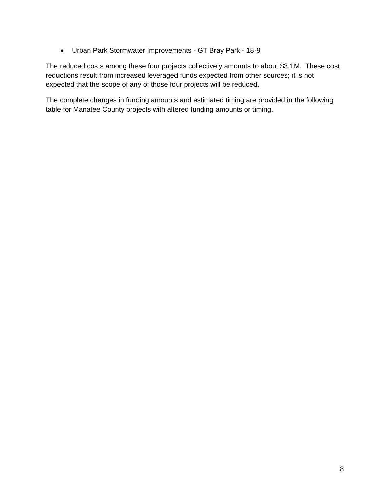Urban Park Stormwater Improvements - GT Bray Park - 18-9

The reduced costs among these four projects collectively amounts to about \$3.1M. These cost reductions result from increased leveraged funds expected from other sources; it is not expected that the scope of any of those four projects will be reduced.

The complete changes in funding amounts and estimated timing are provided in the following table for Manatee County projects with altered funding amounts or timing.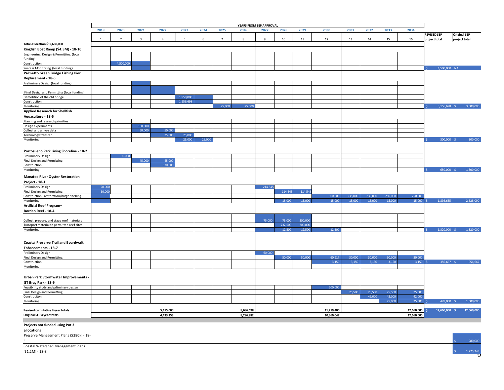|                                                                                          |        |                |                |                |                          |        |                | YEARS FROM SEP APPROVAL |              |                   |                    |                 |                 |                 |                 |                 |                    |                     |
|------------------------------------------------------------------------------------------|--------|----------------|----------------|----------------|--------------------------|--------|----------------|-------------------------|--------------|-------------------|--------------------|-----------------|-----------------|-----------------|-----------------|-----------------|--------------------|---------------------|
|                                                                                          | 2019   | 2020           | 2021           | 2022           | 2023                     | 2024   | 2025           | 2026                    | 2027         | 2028              | 2029               | 2030            | 2031            | 2032            | 2033            | 2034            | <b>REVISED SEP</b> | <b>Original SEP</b> |
|                                                                                          | -1     | $\overline{2}$ | $\overline{3}$ | $\overline{4}$ | $\overline{\phantom{a}}$ | 6      | $\overline{7}$ | 8                       | $\mathbf{q}$ | 10                | 11                 | 12              | 13              | 14              | 15              | 16              | project total      | project total       |
| Total Allocation \$12,660,000                                                            |        |                |                |                |                          |        |                |                         |              |                   |                    |                 |                 |                 |                 |                 |                    |                     |
| Kingfish Boat Ramp (\$4.5M) - 18-10                                                      |        |                |                |                |                          |        |                |                         |              |                   |                    |                 |                 |                 |                 |                 |                    |                     |
| Engineering, Design & Permitting (local<br>funding)                                      |        |                |                |                |                          |        |                |                         |              |                   |                    |                 |                 |                 |                 |                 |                    |                     |
| Construction                                                                             |        | 4,500,000      |                |                |                          |        |                |                         |              |                   |                    |                 |                 |                 |                 |                 |                    |                     |
| Success Monitoring (local funding)                                                       |        |                |                |                |                          |        |                |                         |              |                   |                    |                 |                 |                 |                 |                 | 4,500,000 NA       |                     |
| Palmetto Green Bridge Fishing Pier                                                       |        |                |                |                |                          |        |                |                         |              |                   |                    |                 |                 |                 |                 |                 |                    |                     |
| Replacement - 18-5                                                                       |        |                |                |                |                          |        |                |                         |              |                   |                    |                 |                 |                 |                 |                 |                    |                     |
| Preliminary Design (local funding)                                                       |        |                |                |                |                          |        |                |                         |              |                   |                    |                 |                 |                 |                 |                 |                    |                     |
|                                                                                          |        |                |                |                |                          |        |                |                         |              |                   |                    |                 |                 |                 |                 |                 |                    |                     |
| Final Design and Permitting (local funding)<br>Demolition of the old bridge              |        |                |                |                | 1,950,000                |        |                |                         |              |                   |                    |                 |                 |                 |                 |                 |                    |                     |
| Construction                                                                             |        |                |                |                | 1,156,698                |        |                |                         |              |                   |                    |                 |                 |                 |                 |                 |                    |                     |
| Monitoring                                                                               |        |                |                |                |                          |        | 25,000         | 25,000                  |              |                   |                    |                 |                 |                 |                 |                 | $3,156,698$ \$     | 3,000,000           |
| <b>Applied Research for Shellfish</b>                                                    |        |                |                |                |                          |        |                |                         |              |                   |                    |                 |                 |                 |                 |                 |                    |                     |
| Aquaculture - 18-6                                                                       |        |                |                |                |                          |        |                |                         |              |                   |                    |                 |                 |                 |                 |                 |                    |                     |
| Planning and research priorities                                                         |        |                |                |                |                          |        |                |                         |              |                   |                    |                 |                 |                 |                 |                 |                    |                     |
| Design experiments                                                                       |        |                | 100,000        |                |                          |        |                |                         |              |                   |                    |                 |                 |                 |                 |                 |                    |                     |
| Collect and anlyze data                                                                  |        |                | 50,000         | 50,000         |                          |        |                |                         |              |                   |                    |                 |                 |                 |                 |                 |                    |                     |
| Technology transfer<br>Monitoring                                                        |        |                |                | 25,000         | 25,000<br>25,000         | 25,000 |                |                         |              |                   |                    |                 |                 |                 |                 |                 | 300,000 \$         | 300,000             |
|                                                                                          |        |                |                |                |                          |        |                |                         |              |                   |                    |                 |                 |                 |                 |                 |                    |                     |
|                                                                                          |        |                |                |                |                          |        |                |                         |              |                   |                    |                 |                 |                 |                 |                 |                    |                     |
| Portosueno Park Living Shoreline - 18-2                                                  |        | 30,000         |                |                |                          |        |                |                         |              |                   |                    |                 |                 |                 |                 |                 |                    |                     |
| <b>Preliminary Design</b><br><b>Final Design and Permitting</b>                          |        |                | 45,000         | 45,000         |                          |        |                |                         |              |                   |                    |                 |                 |                 |                 |                 |                    |                     |
| Construction                                                                             |        |                |                | 530,000        |                          |        |                |                         |              |                   |                    |                 |                 |                 |                 |                 |                    |                     |
| Monitoring                                                                               |        |                |                |                |                          |        |                |                         |              |                   |                    |                 |                 |                 |                 |                 | 650,000 \$         | 1,300,000           |
| <b>Manatee River Oyster Restoration</b>                                                  |        |                |                |                |                          |        |                |                         |              |                   |                    |                 |                 |                 |                 |                 |                    |                     |
| Project - 18-1                                                                           |        |                |                |                |                          |        |                |                         |              |                   |                    |                 |                 |                 |                 |                 |                    |                     |
| Preliminary Design                                                                       | 20,000 |                |                |                |                          |        |                |                         | 214,545      |                   |                    |                 |                 |                 |                 |                 |                    |                     |
| <b>Final Design and Permitting</b>                                                       | 60,000 |                |                |                |                          |        |                |                         |              | 114,545           | 114,545            |                 |                 |                 |                 |                 |                    |                     |
| Construction - restoration/barge shelling                                                |        |                |                |                |                          |        |                |                         |              |                   |                    | 300,000         | 235,000         | 235,000         | 250,000         | 250,000         |                    |                     |
| Monitoring                                                                               |        |                |                |                |                          |        |                |                         |              | 15,000            | 15,000             | 15,000          | 15,000          | 15,000          | 15,000          | 15,000          | 1,898,635          | 2,628,090           |
| Artificial Reef Program-                                                                 |        |                |                |                |                          |        |                |                         |              |                   |                    |                 |                 |                 |                 |                 |                    |                     |
| Borden Reef - 18-4                                                                       |        |                |                |                |                          |        |                |                         |              |                   |                    |                 |                 |                 |                 |                 |                    |                     |
|                                                                                          |        |                |                |                |                          |        |                |                         |              |                   |                    |                 |                 |                 |                 |                 |                    |                     |
| Collect, prepare, and stage reef materials<br>Transport material to permitted reef sites |        |                |                |                |                          |        |                |                         | 75,000       | 75,000<br>732,500 | 200,000<br>200,000 |                 |                 |                 |                 |                 |                    |                     |
| Monitoring                                                                               |        |                |                |                |                          |        |                |                         |              | 12,500            | 12,500             | 12,500          |                 |                 |                 |                 | $1,320,000$ \$     | 1,320,000           |
|                                                                                          |        |                |                |                |                          |        |                |                         |              |                   |                    |                 |                 |                 |                 |                 |                    |                     |
|                                                                                          |        |                |                |                |                          |        |                |                         |              |                   |                    |                 |                 |                 |                 |                 |                    |                     |
| <b>Coastal Preserve Trail and Boardwalk</b>                                              |        |                |                |                |                          |        |                |                         |              |                   |                    |                 |                 |                 |                 |                 |                    |                     |
| Enhancements - 18-7                                                                      |        |                |                |                |                          |        |                |                         |              |                   |                    |                 |                 |                 |                 |                 |                    |                     |
| <b>Preliminary Design</b>                                                                |        |                |                |                |                          |        |                |                         | 60,000       |                   |                    |                 |                 |                 |                 |                 |                    |                     |
| <b>Final Design and Permitting</b>                                                       |        |                |                |                |                          |        |                |                         |              | 50,000            | 50,000             | 60,917<br>3,150 | 30,000<br>3,150 | 30,000<br>3,150 | 30,000<br>3,150 | 30,000<br>3,150 | 356,667 \$         | 956,667             |
| Construction<br>Monitoring                                                               |        |                |                |                |                          |        |                |                         |              |                   |                    |                 |                 |                 |                 |                 |                    |                     |
|                                                                                          |        |                |                |                |                          |        |                |                         |              |                   |                    |                 |                 |                 |                 |                 |                    |                     |
| Urban Park Stormwater Improvements -                                                     |        |                |                |                |                          |        |                |                         |              |                   |                    |                 |                 |                 |                 |                 |                    |                     |
| GT Bray Park - 18-9                                                                      |        |                |                |                |                          |        |                |                         |              |                   |                    |                 |                 |                 |                 |                 |                    |                     |
| Feasibility study and prliminary design                                                  |        |                |                |                |                          |        |                |                         |              |                   |                    | 200,000         |                 |                 |                 |                 |                    |                     |
| <b>Final Design and Permitting</b>                                                       |        |                |                |                |                          |        |                |                         |              |                   |                    |                 | 25,500          | 25,500          | 25,500          | 25,500          |                    |                     |
| Construciton                                                                             |        |                |                |                |                          |        |                |                         |              |                   |                    |                 |                 | 42,000          | 42,000          | 42,000          |                    |                     |
| Monitoring                                                                               |        |                |                |                |                          |        |                |                         |              |                   |                    |                 |                 |                 | 25,000          | 25,000          | 478,000 \$         | 1,600,000           |
|                                                                                          |        |                |                |                |                          |        |                |                         |              |                   |                    |                 |                 |                 |                 |                 |                    |                     |
| Revised cumulative 4 year totals<br>Original SEP 4 year totals                           |        |                |                | 5,455,000      |                          |        |                | 8,686,698               |              |                   |                    | 11,219,400      |                 |                 |                 | 12,660,000      | 12,660,000 \$      | 12,660,000          |
|                                                                                          |        |                |                | 4,433,253      |                          |        |                | 8,296,982               |              |                   |                    | 10,360,047      |                 |                 |                 | 12,660,000      |                    |                     |
| Projects not funded using Pot 3                                                          |        |                |                |                |                          |        |                |                         |              |                   |                    |                 |                 |                 |                 |                 |                    |                     |
| allocations                                                                              |        |                |                |                |                          |        |                |                         |              |                   |                    |                 |                 |                 |                 |                 |                    |                     |
| Preserve Management Plans (\$280k) - 18-                                                 |        |                |                |                |                          |        |                |                         |              |                   |                    |                 |                 |                 |                 |                 |                    |                     |
|                                                                                          |        |                |                |                |                          |        |                |                         |              |                   |                    |                 |                 |                 |                 |                 |                    | 280,000             |
| Coastal Watershed Management Plans                                                       |        |                |                |                |                          |        |                |                         |              |                   |                    |                 |                 |                 |                 |                 |                    |                     |
| $($1.2M) - 18-8$                                                                         |        |                |                |                |                          |        |                |                         |              |                   |                    |                 |                 |                 |                 |                 |                    | 1,275,243           |
|                                                                                          |        |                |                |                |                          |        |                |                         |              |                   |                    |                 |                 |                 |                 |                 |                    |                     |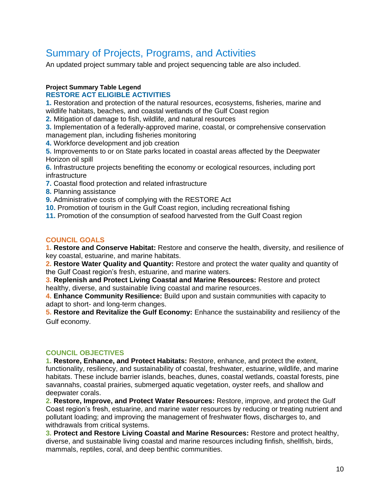## Summary of Projects, Programs, and Activities

An updated project summary table and project sequencing table are also included.

#### **Project Summary Table Legend**

#### **RESTORE ACT ELIGIBLE ACTIVITIES**

**1.** Restoration and protection of the natural resources, ecosystems, fisheries, marine and wildlife habitats, beaches, and coastal wetlands of the Gulf Coast region

**2.** Mitigation of damage to fish, wildlife, and natural resources

**3.** Implementation of a federally-approved marine, coastal, or comprehensive conservation management plan, including fisheries monitoring

**4.** Workforce development and job creation

**5.** Improvements to or on State parks located in coastal areas affected by the Deepwater Horizon oil spill

**6.** Infrastructure projects benefiting the economy or ecological resources, including port infrastructure

- **7.** Coastal flood protection and related infrastructure
- **8.** Planning assistance

**9.** Administrative costs of complying with the RESTORE Act

**10.** Promotion of tourism in the Gulf Coast region, including recreational fishing

**11.** Promotion of the consumption of seafood harvested from the Gulf Coast region

#### **COUNCIL GOALS**

**1. Restore and Conserve Habitat:** Restore and conserve the health, diversity, and resilience of key coastal, estuarine, and marine habitats.

**2. Restore Water Quality and Quantity:** Restore and protect the water quality and quantity of the Gulf Coast region's fresh, estuarine, and marine waters.

**3. Replenish and Protect Living Coastal and Marine Resources:** Restore and protect healthy, diverse, and sustainable living coastal and marine resources.

**4. Enhance Community Resilience:** Build upon and sustain communities with capacity to adapt to short- and long-term changes.

**5. Restore and Revitalize the Gulf Economy:** Enhance the sustainability and resiliency of the Gulf economy.

#### **COUNCIL OBJECTIVES**

**1. Restore, Enhance, and Protect Habitats:** Restore, enhance, and protect the extent, functionality, resiliency, and sustainability of coastal, freshwater, estuarine, wildlife, and marine habitats. These include barrier islands, beaches, dunes, coastal wetlands, coastal forests, pine savannahs, coastal prairies, submerged aquatic vegetation, oyster reefs, and shallow and deepwater corals.

**2. Restore, Improve, and Protect Water Resources:** Restore, improve, and protect the Gulf Coast region's fresh, estuarine, and marine water resources by reducing or treating nutrient and pollutant loading; and improving the management of freshwater flows, discharges to, and withdrawals from critical systems.

**3. Protect and Restore Living Coastal and Marine Resources:** Restore and protect healthy, diverse, and sustainable living coastal and marine resources including finfish, shellfish, birds, mammals, reptiles, coral, and deep benthic communities.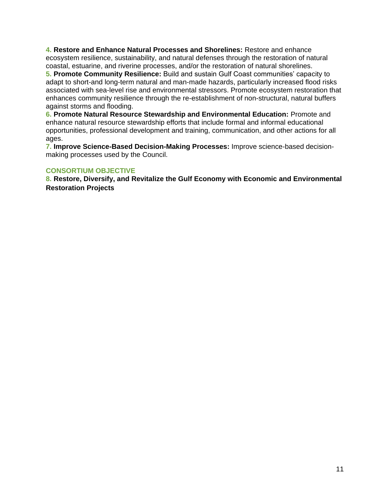**4. Restore and Enhance Natural Processes and Shorelines:** Restore and enhance ecosystem resilience, sustainability, and natural defenses through the restoration of natural coastal, estuarine, and riverine processes, and/or the restoration of natural shorelines.

**5. Promote Community Resilience:** Build and sustain Gulf Coast communities' capacity to adapt to short-and long-term natural and man-made hazards, particularly increased flood risks associated with sea-level rise and environmental stressors. Promote ecosystem restoration that enhances community resilience through the re-establishment of non-structural, natural buffers against storms and flooding.

**6. Promote Natural Resource Stewardship and Environmental Education:** Promote and enhance natural resource stewardship efforts that include formal and informal educational opportunities, professional development and training, communication, and other actions for all ages.

**7. Improve Science-Based Decision-Making Processes:** Improve science-based decisionmaking processes used by the Council.

#### **CONSORTIUM OBJECTIVE**

**8. Restore, Diversify, and Revitalize the Gulf Economy with Economic and Environmental Restoration Projects**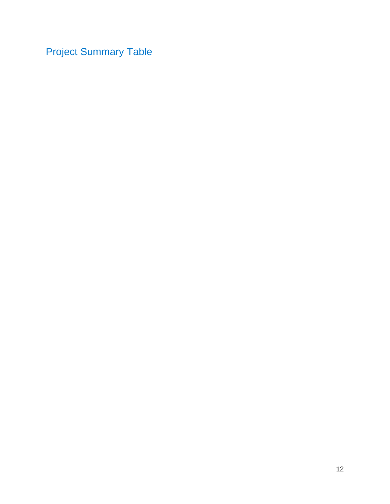Project Summary Table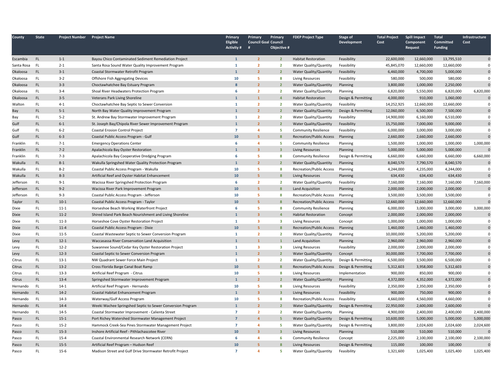| County       | <b>State</b> | <b>Project Number</b> | <b>Project Name</b>                                        | Primary<br>Eligible<br><b>Activity #</b> | Primary<br><b>Council Goal Council</b><br># | Primary<br>Objective #  | <b>FDEP Project Type</b>        | Stage of<br>Development | <b>Total Project</b><br>Cost | <b>Spill Impact</b><br>Component<br>Request | <b>Total</b><br>Committed<br><b>Funding</b> | Infrastructure<br>Cost |
|--------------|--------------|-----------------------|------------------------------------------------------------|------------------------------------------|---------------------------------------------|-------------------------|---------------------------------|-------------------------|------------------------------|---------------------------------------------|---------------------------------------------|------------------------|
| Escambia     | <b>FL</b>    | $1 - 1$               | Bayou Chico Contaminated Sediment Remediation Project      | $\mathbf{1}$                             | $\overline{2}$                              | $\overline{2}$          | <b>Habitat Restoration</b>      | Feasibility             | 22,600,000                   | 12,660,000                                  | 13,795,510                                  | $\mathbf{0}$           |
| Santa Rosa   | <b>FL</b>    | $2 - 1$               | Santa Rosa Sound Water Quality Improvement Program         | $\mathbf{1}$                             | $\overline{2}$                              | $\overline{2}$          | Water Quality/Quantity          | Feasibility             | 45,845,070                   | 12,660,000                                  | 12,660,000                                  | $\Omega$               |
| Okaloosa     | <b>FL</b>    | $3 - 1$               | Coastal Stormwater Retrofit Program                        | $\mathbf{1}$                             | $\overline{2}$                              | $\overline{2}$          | Water Quality/Quantity          | Feasibility             | 6,460,000                    | 4,700,000                                   | 5,000,000                                   | $\Omega$               |
| Okaloosa     | FL.          | $3 - 2$               | Offshore Fish Aggregating Devices                          | 10                                       | -5                                          | 8                       | Living Resources                | Feasibility             | 580,000                      | 500,000                                     | 580,000                                     | $\Omega$               |
| Okaloosa     | FL.          | $3 - 3$               | Choctawhatchee Bay Estuary Program                         | Ŕ                                        | $\overline{2}$                              | $\overline{2}$          | Water Quality/Quantity          | Planning                | 3,800,000                    | 1,000,000                                   | 2,250,000                                   | $\Omega$               |
| Okaloosa     | FL.          | $3 - 4$               | Shoal River Headwaters Protection Program                  | 6                                        | $\overline{2}$                              | $\overline{2}$          | Water Quality/Quantity          | Planning                | 6,820,000                    | 5,550,000                                   | 6,820,000                                   | 6,820,000              |
| Okaloosa     | FL.          | $3 - 5$               | Veterans Park Living Shoreline                             | $\mathbf{1}$                             | $\mathbf{1}$                                | $\overline{4}$          | <b>Habitat Restoration</b>      | Design & Permitting     | 4,000,000                    | 910,000                                     | 1,060,000                                   | $\Omega$               |
| Walton       | FL.          | $4 - 1$               | Choctawhatchee Bay Septic to Sewer Conversion              | $\mathbf{1}$                             | $\overline{2}$                              | $\overline{2}$          | Water Quality/Quantity          | Feasibility             | 14,252,925                   | 12,660,000                                  | 12,660,000                                  | $\Omega$               |
| Bay          | FL           | $5 - 1$               | North Bay Water Quality Improvement Program                | $\mathbf{1}$                             | $\overline{2}$                              | $\overline{2}$          | Water Quality/Quantity          | Design & Permitting     | 12,060,000                   | 6,500,000                                   | 7,500,000                                   | $\mathbf{0}$           |
| Bay          | <b>FL</b>    | $5 - 2$               | St. Andrew Bay Stormwater Improvement Program              | $\mathbf{1}$                             | $\overline{2}$                              | $\overline{2}$          | Water Quality/Quantity          | Feasibility             | 14,900,000                   | 6,160,000                                   | 6,510,000                                   | 0                      |
| Gulf         | <b>FL</b>    | $6 - 1$               | St. Joseph Bay/Chipola River Sewer Improvement Program     | $\mathbf{1}$                             | $\overline{2}$                              | $\overline{2}$          | Water Quality/Quantity          | Feasibility             | 15,750,000                   | 7,000,000                                   | 9,000,000                                   | $\mathbf 0$            |
| Gulf         | <b>FL</b>    | $6 - 2$               | Coastal Erosion Control Project                            | $\overline{7}$                           | $\overline{4}$                              | -5                      | <b>Community Resilience</b>     | Feasibility             | 6,000,000                    | 3,000,000                                   | 3,000,000                                   | $\mathbf 0$            |
| Gulf         | FL.          | $6 - 3$               | Coastal Public Access Program - Gulf                       | 10                                       | $\overline{\mathbf{5}}$                     |                         | <b>Recreation/Public Access</b> | Planning                | 2,660,000                    | 2,660,000                                   | 2,660,000                                   | $\Omega$               |
| Franklin     | FL.          | $7 - 1$               | <b>Emergency Operations Center</b>                         | 6                                        | $\overline{4}$                              | -5                      | <b>Community Resilience</b>     | Planning                | 1,500,000                    | 1,000,000                                   | 1,000,000                                   | 1,000,000              |
| Franklin     | FL.          | $7 - 2$               | Apalachicola Bay Oyster Restoration                        | 1                                        | $\overline{\mathbf{3}}$                     | $\overline{\mathbf{3}}$ | <b>Living Resources</b>         | Planning                | 5,000,000                    | 5,000,000                                   | 5,000,000                                   |                        |
| Franklin     | <b>FL</b>    | $7 - 3$               | Apalachicola Bay Cooperative Dredging Program              | 6                                        | -5                                          | 8                       | <b>Community Resilience</b>     | Design & Permitting     | 6,660,000                    | 6,660,000                                   | 6,660,000                                   | 6,660,000              |
| Wakulla      | FL.          | $8 - 1$               | Wakulla Springshed Water Quality Protection Program        | $\mathbf{1}$                             | $\overline{2}$                              | $\overline{2}$          | Water Quality/Quantity          | Planning                | 8,040,570                    | 7,790,570                                   | 8,040,570                                   | $\Omega$               |
| Wakulla      | <b>FL</b>    | $8 - 2$               | Coastal Public Access Program - Wakulla                    | 10                                       | 5                                           | 8                       | <b>Recreation/Public Access</b> | Planning                | 4,244,000                    | 4,235,000                                   | 4,244,000                                   | $\mathbf 0$            |
| Wakulla      | FL           | $8 - 3$               | Artificial Reef and Oyster Habitat Enhancement             | 10                                       | $\overline{\mathbf{5}}$                     | R                       | <b>Living Resources</b>         | Planning                | 634,430                      | 634,430                                     | 634,430                                     | $\overline{0}$         |
| Jefferson    | FL           | $9 - 1$               | Wacissa River Springshed Protection Program                | 6                                        | $\overline{2}$                              | $\overline{2}$          | Water Quality/Quantity          | Feasibility             | 7,160,000                    | 7,160,000                                   | 7,160,000                                   | 7,160,000              |
| Jefferson    | FL           | $9 - 2$               | Wacissa River Park Improvement Program                     | 10                                       | $\overline{\mathbf{5}}$                     | <b>R</b>                | Land Acquisition                | Planning                | 2,000,000                    | 2,000,000                                   | 2,000,000                                   | $\Omega$               |
| Jefferson    | <b>FL</b>    | $9 - 3$               | Coastal Public Access Program - Jefferson                  | 10                                       | 5                                           | 8                       | <b>Recreation/Public Access</b> | Planning                | 3,500,000                    | 3,500,000                                   | 3,500,000                                   | $\mathbf 0$            |
| Taylor       | FL           | $10-1$                | Coastal Public Access Program - Taylor                     | 10 <sup>°</sup>                          | 5                                           |                         | <b>Recreation/Public Access</b> | Planning                | 12,660,000                   | 12,660,000                                  | 12,660,000                                  | $\Omega$               |
| Dixie        | <b>FL</b>    | $11 - 1$              | Horseshoe Beach Working Waterfront Project                 | 6                                        | 5                                           | 8                       | <b>Community Resilience</b>     | Planning                | 6,000,000                    | 3,000,000                                   | 3,000,000                                   | 3,000,000              |
| <b>Dixie</b> | <b>FL</b>    | $11-2$                | Shired Island Park Beach Nourishment and Living Shoreline  | $\mathbf{1}$                             | $\overline{3}$                              | $\overline{a}$          | <b>Habitat Restoration</b>      | Concept                 | 2,000,000                    | 2,000,000                                   | 2,000,000                                   | $\mathbf{0}$           |
| Dixie        | <b>FL</b>    | $11-3$                | Horseshoe Cove Oyster Restoration Project                  | $\mathbf{1}$                             | $\overline{\mathbf{3}}$                     | 3                       | <b>Living Resources</b>         | Concept                 | 1,000,000                    | 1,000,000                                   | 1,000,000                                   | $\mathbf 0$            |
| <b>Dixie</b> | FL.          | $11 - 4$              | Coastal Public Access Program - Dixie                      | 10                                       | $\overline{\mathbf{5}}$                     | 8                       | Recreation/Public Access        | Planning                | 1,460,000                    | 1,460,000                                   | 1,460,000                                   | $\mathbf{0}$           |
| Dixie        | FL.          | $11-5$                | Coastal Wastewater Septic to Sewer Conversion Program      | $\mathbf{1}$                             | $\overline{2}$                              | $\overline{2}$          | Water Quality/Quantity          | Planning                | 10,000,000                   | 5,200,000                                   | 5,200,000                                   | $\mathbf 0$            |
| Levy         | FL.          | $12 - 1$              | Waccasassa River Conservation Land Acquisition             | $\mathbf{1}$                             | $\mathbf{1}$                                | $\mathbf{1}$            | Land Acquisition                | Planning                | 2,960,000                    | 2,960,000                                   | 2,960,000                                   | $\pmb{0}$              |
| Levy         | FL.          | $12 - 2$              | Suwannee Sound/Cedar Key Oyster Restoration Project        | $\mathbf{1}$                             | $\overline{\mathbf{3}}$                     | $\overline{\mathbf{3}}$ | <b>Living Resources</b>         | Feasibility             | 2,000,000                    | 2,000,000                                   | 2,000,000                                   | $\mathbf 0$            |
| Levy         | FL.          | $12-3$                | Coastal Septic to Sewer Conversion Program                 | $\mathbf{1}$                             | $\overline{2}$                              | $\overline{2}$          | Water Quality/Quantity          | Concept                 | 30,000,000                   | 7,700,000                                   | 7,700,000                                   | $\bf{0}$               |
| Citrus       | FL.          | $13-1$                | NW Quadrant Sewer Force Main Project                       | $\mathbf{1}$                             | $\overline{2}$                              | $\overline{2}$          | Water Quality/Quantity          | Design & Permitting     | 6,500,000                    | 3,500,000                                   | 6,500,000                                   | $\mathbf 0$            |
| Citrus       | FL.          | $13-2$                | Cross Florida Barge Canal Boat Ramp                        | 10                                       | 5                                           | $\mathbf{R}$            | <b>Recreation/Public Access</b> | Design & Permitting     | 5,312,603                    | 3,958,000                                   | 5,312,603                                   | $\mathbf 0$            |
| Citrus       | <b>FL</b>    | $13-3$                | Artificial Reef Program - Citrus                           | 10                                       | -5                                          | -8                      | <b>Living Resources</b>         | Implementation          | 900,000                      | 850,000                                     | 900,000                                     | $\mathbf 0$            |
| Citrus       | FL.          | $13 - 4$              | Springshed Stormwater Improvement Program                  | $\mathbf{1}$                             | $\overline{2}$                              | $\overline{2}$          | Water Quality/Quantity          | Planning                | 4,372,000                    | 4,352,000                                   | 4,372,000                                   | $\mathbf 0$            |
| Hernando     | FL           | $14-1$                | Artificial Reef Program - Hernando                         | 10                                       | -5                                          | 8                       | <b>Living Resources</b>         | Feasibility             | 2,350,000                    | 2,350,000                                   | 2,350,000                                   | $\mathbf 0$            |
| Hernando     | <b>FL</b>    | $14-2$                | Coastal Habitat Enhancement Program                        | $\mathbf{1}$                             | $\overline{\mathbf{3}}$                     | $\overline{\mathbf{3}}$ | <b>Living Resources</b>         | Feasibility             | 900,000                      | 750,000                                     | 900,000                                     | $\mathbf 0$            |
| Hernando     | <b>FL</b>    | $14 - 3$              | Waterway/Gulf Access Program                               | 10                                       | 5                                           | -8                      | Recreation/Public Access        | Feasibility             | 4,660,000                    | 4,560,000                                   | 4,660,000                                   | $\mathbf 0$            |
| Hernando     | FL           | $14 - 4$              | Weeki Wachee Springshed Septic to Sewer Conversion Program |                                          | $\overline{2}$                              | $\overline{2}$          | Water Quality/Quantity          | Design & Permitting     | 22,950,000                   | 2,600,000                                   | 2,600,000                                   | $\overline{0}$         |
| Hernando     | <b>FL</b>    | $14-5$                | Coastal Stormwater Improvement - Calienta Street           | $\overline{7}$                           | $\overline{2}$                              | $\overline{2}$          | Water Quality/Quantity          | Planning                | 4,900,000                    | 2,400,000                                   | 2,400,000                                   | 2,400,000              |
| Pasco        | FL.          | $15 - 1$              | Port Richey Watershed Stormwater Management Project        | $\overline{7}$                           | $\overline{a}$                              | -5                      | Water Quality/Quantity          | Design & Permitting     | 10,600,000                   | 5,000,000                                   | 5,000,000                                   | 5,000,000              |
| Pasco        | FL.          | $15 - 2$              | Hammock Creek-Sea Pines Stormwater Management Project      | $\overline{7}$                           | $\Delta$                                    | -5                      | Water Quality/Quantity          | Design & Permitting     | 3,800,000                    | 2,024,600                                   | 2,024,600                                   | 2,024,600              |
| Pasco        | FL.          | $15-3$                | Inshore Artificial Reef - Pithlachascotee River            | 10                                       | $\overline{3}$                              | $\mathbf{R}$            | <b>Living Resources</b>         | Planning                | 510,000                      | 510,000                                     | 510,000                                     |                        |
| Pasco        | FL.          | $15 - 4$              | Coastal Environmental Research Network (CERN)              | 6                                        | $\overline{4}$                              | 6                       | <b>Community Resilience</b>     | Concept                 | 2,225,000                    | 2,100,000                                   | 2,100,000                                   | 2,100,000              |
| Pasco        | <b>FL</b>    | $15-5$                | Artificial Reef Program - Hudson Reef                      | 10                                       | 5                                           | 8                       | <b>Living Resources</b>         | Design & Permitting     | 115,000                      | 100,000                                     | 100,000                                     | $\Omega$               |
| Pasco        | <b>FL</b>    | $15 - 6$              | Madison Street and Gulf Drive Stormwater Retrofit Project  | $\overline{7}$                           | $\Delta$                                    | -5                      | Water Quality/Quantity          | Feasibility             | 1,321,600                    | 1,025,400                                   | 1,025,400                                   | 1,025,400              |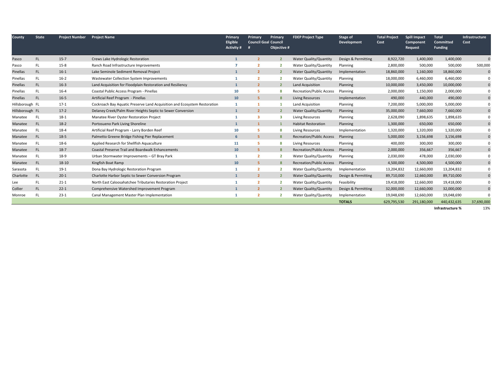| County          | <b>State</b> | <b>Project Number</b> | <b>Project Name</b>                                                       | Primary<br>Eligible<br>Activity # | <b>Primary</b><br><b>Council Goal Council</b><br># | Primary<br>Objective # | <b>FDEP Project Type</b>        | Stage of<br>Development | <b>Total Project</b><br>Cost | <b>Spill Impact</b><br>Component<br>Request | <b>Total</b><br><b>Committed</b><br><b>Funding</b> | <b>Infrastructure</b><br>Cost |
|-----------------|--------------|-----------------------|---------------------------------------------------------------------------|-----------------------------------|----------------------------------------------------|------------------------|---------------------------------|-------------------------|------------------------------|---------------------------------------------|----------------------------------------------------|-------------------------------|
| Pasco           | FL.          | $15 - 7$              | Crews Lake Hydrologic Restoration                                         |                                   | $\overline{2}$                                     |                        | Water Quality/Quantity          | Design & Permitting     | 8,922,720                    | 1,400,000                                   | 1,400,000                                          |                               |
| Pasco           | FL.          | $15 - 8$              | Ranch Road Infrastructure Improvements                                    |                                   |                                                    |                        | Water Quality/Quantity          | Planning                | 2,800,000                    | 500,000                                     | 500,000                                            | 500,000                       |
| Pinellas        | FL.          | $16-1$                | Lake Seminole Sediment Removal Project                                    |                                   | $\overline{2}$                                     | $\overline{2}$         | Water Quality/Quantity          | Implementation          | 18,860,000                   | 1,160,000                                   | 18,860,000                                         | $\mathbf{0}$                  |
| Pinellas        | <b>FL</b>    | $16-2$                | Wastewater Collection System Improvements                                 |                                   | $\overline{2}$                                     | $\overline{2}$         | Water Quality/Quantity          | Planning                | 18,000,000                   | 6,460,000                                   | 6,460,000                                          | 0                             |
| Pinellas        | FL.          | $16-3$                | Land Acquisition for Floodplain Restoration and Resiliency                | $\mathbf{1}$                      | $\overline{2}$                                     | $\overline{2}$         | Land Acquisition                | Planning                | 10,000,000                   | 3,450,000                                   | 10,000,000                                         | 0                             |
| Pinellas        | FL.          | $16 - 4$              | Coastal Public Access Program - Pinellas                                  | 10                                | 5                                                  |                        | <b>Recreation/Public Access</b> | Planning                | 2,000,000                    | 1,150,000                                   | 2,000,000                                          | 0                             |
| Pinellas        | <b>FL</b>    | $16 - 5$              | Artificial Reef Program - Pinellas                                        | 10                                | 5                                                  | 8                      | <b>Living Resources</b>         | Implementation          | 490,000                      | 440,000                                     | 490,000                                            | $\mathbf 0$                   |
| Hillsborough FL |              | $17-1$                | Cockroach Bay Aquatic Preserve Land Acquisition and Ecosystem Restoration |                                   | 1                                                  |                        | Land Acquisition                | Planning                | 7,200,000                    | 5,000,000                                   | 5,000,000                                          | $\Omega$                      |
| Hillsborough FL |              | $17-2$                | Delaney Creek/Palm River Heights Septic to Sewer Conversion               |                                   | $\overline{2}$                                     |                        | <b>Water Quality/Quantity</b>   | Planning                | 35,000,000                   | 7,660,000                                   | 7,660,000                                          | $\pmb{0}$                     |
| Manatee         | <b>FL</b>    | $18-1$                | Manatee River Oyster Restoration Project                                  |                                   | 3                                                  | 3                      | <b>Living Resources</b>         | Planning                | 2,628,090                    | 1,898,635                                   | 1,898,635                                          | $\mathbf{0}$                  |
| Manatee         | <b>FL</b>    | $18-2$                | Portosueno Park Living Shoreline                                          |                                   |                                                    |                        | <b>Habitat Restoration</b>      | Planning                | 1,300,000                    | 650,000                                     | 650,000                                            | $\bf{0}$                      |
| Manatee         | <b>FL</b>    | $18-4$                | Artificial Reef Program - Larry Borden Reef                               | 10                                | 5                                                  |                        | <b>Living Resources</b>         | Implementation          | 1,320,000                    | 1,320,000                                   | 1,320,000                                          | 0                             |
| Manatee         | <b>FL</b>    | $18-5$                | Palmetto Greene Bridge Fishing Pier Replacement                           | 6                                 | 5                                                  |                        | <b>Recreation/Public Access</b> | Planning                | 5,000,000                    | 3,156,698                                   | 3,156,698                                          | $\mathbf 0$                   |
| Manatee         | <b>FL</b>    | 18-6                  | Applied Research for Shellfish Aquaculture                                | 11                                | 5                                                  |                        | <b>Living Resources</b>         | Planning                | 400,000                      | 300,000                                     | 300,000                                            | $\Omega$                      |
| Manatee         | <b>FL</b>    | $18-7$                | <b>Coastal Preserve Trail and Boardwalk Enhancements</b>                  | 10                                | 5                                                  |                        | <b>Recreation/Public Access</b> | Planning                | 2,000,000                    | 356,667                                     | 356,667                                            | $\mathbf 0$                   |
| Manatee         | <b>FL</b>    | 18-9                  | Urban Stormwater Improvements - GT Bray Park                              |                                   | $\overline{2}$                                     |                        | Water Quality/Quantity          | Planning                | 2,030,000                    | 478,000                                     | 2,030,000                                          | 0                             |
| Manatee         | FL.          | 18-10                 | Kingfish Boat Ramp                                                        | 10                                | 5                                                  |                        | <b>Recreation/Public Access</b> | Planning                | 4,500,000                    | 4,500,000                                   | 4,500,000                                          | $\mathbf{0}$                  |
| Sarasota        | <b>FL</b>    | $19-1$                | Dona Bay Hydrologic Restoration Program                                   |                                   | $\overline{2}$                                     | $\overline{2}$         | Water Quality/Quantity          | Implementation          | 13,204,832                   | 12,660,000                                  | 13,204,832                                         | 0                             |
| Charlotte       | <b>FL</b>    | $20-1$                | Charlotte Harbor Septic to Sewer Conversion Program                       |                                   | $\overline{2}$                                     |                        | Water Quality/Quantity          | Design & Permitting     | 89,710,000                   | 12,660,000                                  | 89,710,000                                         | $\mathbf 0$                   |
| Lee             | FL.          | $21-1$                | North East Caloosahatchee Tributaries Restoration Project                 |                                   | $\overline{2}$                                     |                        | Water Quality/Quantity          | Feasibility             | 19,418,000                   | 12,660,000                                  | 19,418,000                                         | $\Omega$                      |
| Collier         | FL.          | $22 - 1$              | Comprehensive Watershed Improvement Program                               |                                   | $\overline{2}$                                     |                        | Water Quality/Quantity          | Design & Permitting     | 32,000,000                   | 12,660,000                                  | 32,000,000                                         | $\mathbf 0$                   |
| Monroe          | <b>FL</b>    | $23-1$                | Canal Management Master Plan Implementation                               |                                   |                                                    |                        | Water Quality/Quantity          | Implementation          | 19,048,690                   | 12,660,000                                  | 19,048,690                                         | $\Omega$                      |
|                 |              |                       |                                                                           |                                   |                                                    |                        |                                 | <b>TOTALS</b>           | 629,795,530                  | 291,180,000                                 | 440,432,635                                        | 37,690,000                    |

**Infrastructure %**13%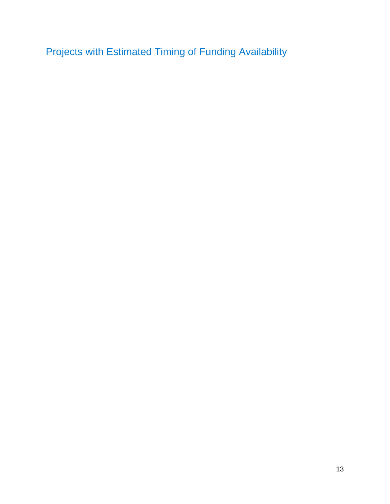Projects with Estimated Timing of Funding Availability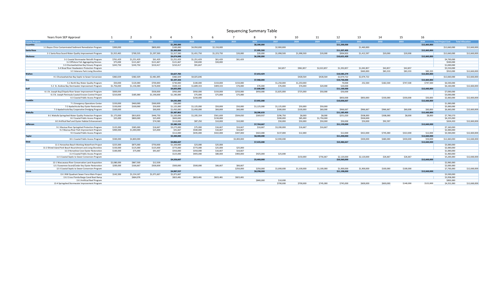#### Sequencing Summary Table

|                        | Years from SEP Approval                                        |             |             |             |             |             |             |             |             |             | 10 <sup>1</sup> | 11          | 12           | 13          | 14        | 15        | 16           |                                     |              |
|------------------------|----------------------------------------------------------------|-------------|-------------|-------------|-------------|-------------|-------------|-------------|-------------|-------------|-----------------|-------------|--------------|-------------|-----------|-----------|--------------|-------------------------------------|--------------|
| <b>County Projects</b> |                                                                | 2019        | 2020        | 2021        | 2022        | 2023        | 2024        | 2025        | 2026        | 2027        | 2028            | 2029        | 2030         | 2031        | 2032      | 2033      | 2034         | Total Project Cost Total Allocation |              |
| Escambia               |                                                                |             |             |             | \$1,200,000 |             |             |             | \$8,300,000 |             |                 |             | \$11,200,000 |             |           |           | \$12,660,000 |                                     |              |
|                        | 1-1 Bayou Chico Contaminated Sediment Remediation Program      | \$300,000   |             | \$800,000   | \$100,000   | \$4,950,000 | \$2,150,000 |             |             | \$2,900,000 |                 |             |              | \$1,460,000 |           |           |              | \$12,660,000                        | \$12,660,000 |
| Santa Rosa             |                                                                |             |             |             | \$5,300,000 |             |             |             | \$7,995,500 |             |                 |             | \$11,207,403 |             |           |           | \$12,660,000 |                                     |              |
|                        | 2-1 Santa Rosa Sound Water Quality Improvement Program         | \$1,915,465 | \$769,535   | \$1,297,500 | \$1,317,500 | \$1,431,750 | \$1,223,750 | \$20,000    | \$20,000    | \$1,098,500 | \$1.098.500     | \$20,000    | \$994.903    | \$1.412.597 | \$20,000  | \$20,000  |              | \$12,660,000                        | \$12,660,000 |
| <b>Okaloosa</b>        |                                                                |             |             |             | \$4,674,048 |             |             |             | \$6,200,000 |             |                 |             | \$10,621,429 |             |           |           | \$12,660,000 |                                     |              |
|                        | 3-1 Coastal Stormwater Retrofit Program                        | \$761.429   | \$1,251,429 | \$61,429    | \$1,251,429 | \$1,251,429 | \$61,429    | \$61.429    |             |             |                 |             |              |             |           |           |              | \$4,700,000                         |              |
|                        | 3-2 Offshore Fish Aggregating Devices                          | \$75,000    | \$121,667   | \$121,667   | \$121.667   | \$30,000    | \$30,000    |             |             |             |                 |             |              |             |           |           |              | \$500,000                           |              |
|                        | 3-3 Choctawhatchee Bay Estuary Program                         | \$243,750   | \$243,750   | \$210,417   | \$210,417   | \$91,667    |             |             |             |             |                 |             |              |             |           |           |              | \$1,000,000                         |              |
|                        | 3-4 Shoal River Headwaters Protection Program                  |             |             |             |             |             |             |             |             | \$42,857    | \$962,857       | \$2,022,857 | \$1,392,857  | \$1,042,857 | \$42,857  | \$42,857  |              | \$5,550,000                         |              |
|                        | 3-5 Veterans Park Living Shoreline                             |             |             |             |             |             |             |             |             |             |                 |             |              | \$660,000   | \$83,333  | \$83,333  | \$83,333     | \$910,000                           | \$12,660,000 |
| Walton                 |                                                                |             |             |             | \$3,627,783 |             |             |             | \$7,653,429 |             |                 |             | \$10,585,279 |             |           |           | \$12,660,000 |                                     |              |
|                        | 4-1 Choctawhatchee Bay Septic to Sewer Conversion              | \$382,029   | \$382,029   | \$2,481,695 | \$382,029   | \$4,025,646 |             |             |             |             | \$428,564       | \$428,564   | \$2,074,722  | \$2,074,722 |           |           |              | \$12,660,000                        | \$12,660,000 |
| Bay                    |                                                                |             |             |             | \$5,197,333 |             |             |             | \$7,968,000 |             |                 |             | \$10,730,000 |             |           |           | \$12,660,000 |                                     |              |
|                        | 5-1 North Bay Water Quality Program                            | \$50,000    | \$120,000   | \$700,000   | \$730,000   | \$100,000   | \$150,000   | \$150,000   |             | \$1,250,000 | \$1,250,000     |             | 70,000       | 252,500     | \$182,500 | \$747,500 | \$747,500    | \$6,500,000                         |              |
|                        | 5-2 St. Andrew Bay Stormwater Improvement Program              | \$1,756,000 | \$1,156,000 | \$176,000   | \$509,333   | \$1,809,333 | \$409,333   | \$76,000    | \$76,000    | \$76,000    | \$76,000        | \$20,000    | \$20,000     |             |           |           |              | \$6,160,000                         | \$12,660,000 |
| Gulf                   |                                                                |             |             |             | \$4,825,000 |             |             |             | \$7,600,000 |             |                 |             | \$11,100,000 |             |           |           | \$12,660,000 |                                     |              |
|                        | 6-1 St. Joseph Bay/Chipola River Sewer Improvement Program     | \$600,000   |             | \$500,000   | \$950,000   | \$950,000   | \$150,000   | \$250,000   | \$950,000   | \$1,825,000 | \$725,000       | \$50,000    | \$50,000     |             |           |           |              | \$7,000,000                         |              |
|                        | 6-2 St. Joseph Peninsula Coastal Erosion Control Project       | \$210,000   | \$185,000   | \$1,190,000 | \$1,190,000 | \$75,000    | \$75,000    | \$75,000    |             |             |                 |             |              |             |           |           |              | \$3,000,000                         |              |
|                        | 6-3 Coastal Public Access Program                              |             |             |             |             | \$250,000   |             |             |             |             |                 |             | \$850,000    | \$850,000   | \$330,000 | \$330,000 | \$50,000     | \$2,660,000                         | \$12,660,000 |
| Franklin               |                                                                |             |             |             | \$4,035,000 |             |             |             | \$7,955,000 |             |                 |             | \$10,606,667 |             |           |           | \$12,660,000 |                                     |              |
|                        | 7-1 Emergency Operations Center                                | \$150,000   | \$460,000   | \$360,000   | \$30,000    |             |             |             |             |             |                 |             |              |             |           |           |              | \$1,000,000                         |              |
|                        | 7-2 Apalachicola Bay Oyster Restoration                        | \$150,000   | \$100,000   | \$50,000    | \$1,125,000 | \$1,125,000 | \$50,000    | \$50,000    | \$1,125,000 | \$1,125,000 | \$50,000        | \$50,000    |              |             |           |           |              | \$5,000,000                         |              |
|                        | 7-3 Apalachicola Bay Cooperative Dredging Program              | \$100,000   |             | \$60,000    | \$1,450,000 | \$1,450,000 | \$60,000    | \$60,000    |             | \$300,000   | \$100,000       | \$60,000    | \$966,667    | \$966,667   | \$966.667 | \$60,000  | \$60,000     | \$6,660,000                         | \$12,660,000 |
| Wakulla                |                                                                |             |             |             | \$5,387,862 |             |             |             | \$8,286,633 |             |                 |             | \$11,185,403 |             |           |           | \$12,660,000 |                                     |              |
|                        | 8-1 Wakulla Springshed Water Quality Protection Program        | \$1,175,000 | \$810,833   | \$446,750   | \$1,320,696 | \$1,205,334 | \$561,600   | \$504,650   | \$369,937   | \$296,750   | \$8,000         | \$8,000     | \$251,020    | \$508,000   | \$308,000 | \$8,000   | \$8,000      | \$7,790,570                         |              |
|                        | 8-2 Coastal Public Access Program                              | \$25,000    | \$800,000   | \$25,000    | \$600,000   |             | \$150,000   |             |             | \$300,000   | \$85,000        | \$1,750,000 |              | \$500,000   |           |           |              | \$4,235,000                         |              |
|                        | 8-3 Artifical Reef and Oyster Habitat Enhancement              |             |             | \$74,583    | \$110,000   | \$87,250    | \$10,000    | \$10,000    |             | \$50,000    | \$50,000        | \$50,000    | \$50,000     | \$50,000    | \$92,597  |           |              | \$634,430                           | \$12,660,000 |
| Jefferson              |                                                                |             |             |             | \$5,380,333 |             |             |             | \$7,764,667 |             |                 |             | \$11.159.000 |             |           |           | \$12,660,000 |                                     |              |
|                        | 9-1 Wacissa River Springshed Protection Program                | \$125,000   | \$385,000   | \$16,667    | \$3,275,000 | \$75,000    | \$16,667    | \$16,667    | \$16,667    | \$3,200,000 | \$16,667        | \$16,667    |              |             |           |           |              | \$7,160,000                         |              |
|                        | 9-2 Wacissa River Park Improvement Program                     | \$400,000   | \$1,000,000 | \$25,000    | S41.667     | \$500,000   | \$16,667    | \$16,667    |             |             |                 |             |              |             |           |           |              | \$2,000,000                         |              |
|                        | 9-3 Coastal Public Access Program                              |             |             |             | \$112,000   | \$435,000   | \$422,000   | \$447,000   | \$422,000   | \$137,000   | \$12,000        |             | \$12,000     | \$422,000   | \$745,000 | \$322,000 | \$12,000     | \$3,500,000                         | \$12,660,000 |
| <b>Taylor</b>          |                                                                |             |             |             | \$5,300,000 |             |             |             | \$8,300,000 |             |                 |             | \$11,200,000 |             |           |           | \$12,660,000 |                                     |              |
|                        | 10-1 Coastal Public Access Program                             | \$500,000   | \$4,800,000 |             |             |             |             | \$3,000,000 |             | \$2,900,000 |                 |             |              | \$300,000   | \$680,000 | \$430,000 | \$50,000     | \$12,660,000                        | \$12,660,000 |
| <b>Dixie</b>           |                                                                |             |             |             | \$4,866,667 |             |             |             | \$7,435,000 |             |                 |             | \$10,486,667 |             |           |           | \$12,660,000 |                                     |              |
|                        | 11-1 Horseshoe Beach Working Waterfront Project                | \$225,000   | \$875,000   | \$750,000   | \$1,100,000 | \$25,000    | \$25,000    |             |             |             |                 |             |              |             |           |           |              | \$3,000,000                         |              |
|                        | 11-2 Shired Island Park Beach Nourishment and Living Shoreline | \$150,000   | \$125,000   | \$125,000   | \$775,000   | \$775,000   | \$25,000    | \$25,000    |             |             |                 |             |              |             |           |           |              | \$2,000,000                         |              |
|                        | 11-3 Horseshoe Cove Oyster Restoration                         | \$100,000   | \$75,000    | \$91.667    | \$350,000   | \$350,000   | \$16,667    | \$16,667    |             |             |                 |             |              |             |           |           |              | \$1,000,000                         |              |
|                        | 11-4 Coastal Public Access Program                             |             |             |             | \$125,000   | \$405,000   | \$80,000    | \$400,000   | \$425,000   | \$25,000    |                 |             |              |             |           |           |              | \$1,460,000                         |              |
|                        | 11-5 Coastal Septic to Sewer Conversion Program                |             |             |             |             |             |             |             |             |             | \$150,000       | \$756,667   | \$2,120,000  | \$2,120,000 | \$26,667  | \$26,667  |              | \$5,200,000                         | \$12,660,000 |
| Levy                   |                                                                |             |             |             | \$4,326,667 |             |             |             | \$5,460,000 |             |                 |             | \$10,560,000 |             |           |           | \$12,660,000 |                                     |              |
|                        | 12-1 Waccasassa River Conservation Land Acquisition            | \$2,080,000 | \$867,500   | \$12,500    |             |             |             |             |             |             |                 |             |              |             |           |           |              | \$2,960,000                         |              |
|                        | 12-2 Suwannee Sound/Cedar Key Oyster Restoration               | \$200,000   | \$166,667   | \$500,000   | \$500,000   | \$500,000   | \$66,667    | \$66,667    |             |             |                 |             |              |             |           |           |              | \$2,000,000                         |              |
|                        | 12-3 Coastal Septic to Sewer Conversion Program                |             |             |             |             |             |             | \$250,000   | \$250,000   | \$1,000,000 | \$1,100,000     | \$1,100,000 | \$1,900,000  | \$1,900,000 | \$100,000 | \$100,000 |              | \$7,700,000                         | \$12,660,000 |
| <b>Citrus</b>          |                                                                |             |             |             | \$4,987,557 |             |             |             | \$8,298,000 |             |                 |             | \$11.198.000 |             |           |           | \$12,660,000 |                                     |              |
|                        | 13-1 NW Quadrant Sewer Force Main Project                      | \$142,500   | \$1,214,167 | \$1,071,667 | \$1,071,667 |             |             |             |             |             |                 |             |              |             |           |           |              | \$3,500,000                         |              |
|                        | 13-2 Cross Florida Barge Canal Boat Ramp                       |             | \$664,076   |             | \$823,481   | \$823,481   | \$823,481   | \$823,481   |             |             |                 |             |              |             |           |           |              | \$3,958,000                         |              |
|                        | 13-3 Artificial Reef Program                                   |             |             |             |             |             |             |             | \$840,000   | \$10,000    |                 |             |              |             |           |           |              | \$850,000                           |              |
|                        | 13-4 Springshed Stormwater Improvement Program                 |             |             |             |             |             |             |             |             | \$700,000   | \$700,000       | \$745,000   | \$745,000    | \$600,000   | \$600,000 | \$140,000 | \$122,000    | \$4,352,000                         | \$12,660,000 |